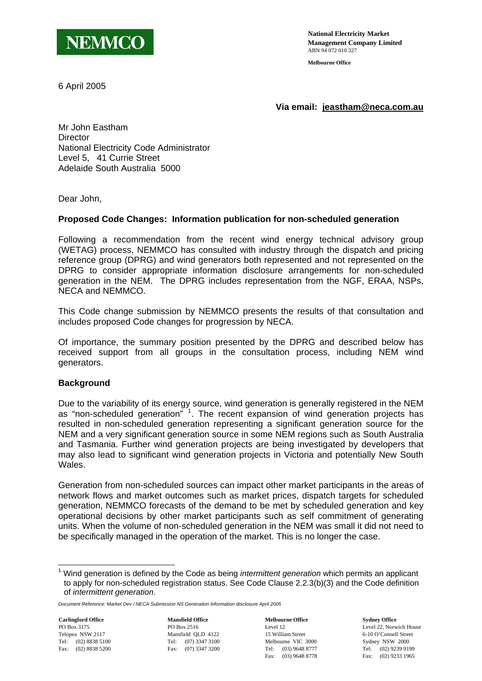

**National Electricity Market Management Company Limited** ABN 94 072 010 327

**Melbourne Office**

6 April 2005

**Via email: [jeastham@neca.com.au](mailto:skelly@neca.com.au)**

Mr John Eastham **Director** National Electricity Code Administrator Level 5, 41 Currie Street Adelaide South Australia 5000

Dear John,

### **Proposed Code Changes: Information publication for non-scheduled generation**

Following a recommendation from the recent wind energy technical advisory group (WETAG) process, NEMMCO has consulted with industry through the dispatch and pricing reference group (DPRG) and wind generators both represented and not represented on the DPRG to consider appropriate information disclosure arrangements for non-scheduled generation in the NEM. The DPRG includes representation from the NGF, ERAA, NSPs, NECA and NEMMCO.

This Code change submission by NEMMCO presents the results of that consultation and includes proposed Code changes for progression by NECA.

Of importance, the summary position presented by the DPRG and described below has received support from all groups in the consultation process, including NEM wind generators.

#### **Background**

Due to the variability of its energy source, wind generation is generally registered in the NEM as "non-scheduled generation" <sup>[1](#page-0-0)</sup>. The recent expansion of wind generation projects has resulted in non-scheduled generation representing a significant generation source for the NEM and a very significant generation source in some NEM regions such as South Australia and Tasmania. Further wind generation projects are being investigated by developers that may also lead to significant wind generation projects in Victoria and potentially New South Wales.

Generation from non-scheduled sources can impact other market participants in the areas of network flows and market outcomes such as market prices, dispatch targets for scheduled generation, NEMMCO forecasts of the demand to be met by scheduled generation and key operational decisions by other market participants such as self commitment of generating units. When the volume of non-scheduled generation in the NEM was small it did not need to be specifically managed in the operation of the market. This is no longer the case.

PO Box 3175 Telopea NSW 2117 Tel: (02) 8838 5100 Fax: (02) 8838 5200

1

**Carlingford Office Mansfield Office Melbourne Office Sydney Office**  PO Box 2516 Mansfield QLD 4122 Tel: (07) 3347 3100 Fax: (07) 3347 3200

Level 12 15 William Street Melbourne VIC 3000 Tel: (03) 9648 8777 Fax: (03) 9648 8778

Level 22, Norwich House 6-10 O'Connell Street Sydney NSW 2000 Tel: (02) 9239 9199 Fax: (02) 9233 1965

<span id="page-0-0"></span><sup>&</sup>lt;sup>1</sup> Wind generation is defined by the Code as being *intermittent generation* which permits an applicant to apply for non-scheduled registration status. See Code Clause 2.2.3(b)(3) and the Code definition of *intermittent generation*.

*Document Reference: Market Dev / NECA Submission NS Generation Information disclosure April 2005*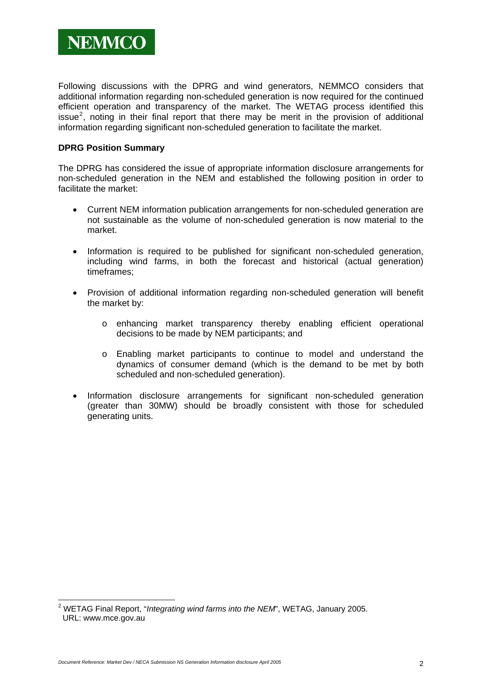Following discussions with the DPRG and wind generators, NEMMCO considers that additional information regarding non-scheduled generation is now required for the continued efficient operation and transparency of the market. The WETAG process identified this issue<sup>[2](#page-1-0)</sup>, noting in their final report that there may be merit in the provision of additional information regarding significant non-scheduled generation to facilitate the market.

## **DPRG Position Summary**

The DPRG has considered the issue of appropriate information disclosure arrangements for non-scheduled generation in the NEM and established the following position in order to facilitate the market:

- Current NEM information publication arrangements for non-scheduled generation are not sustainable as the volume of non-scheduled generation is now material to the market.
- Information is required to be published for significant non-scheduled generation, including wind farms, in both the forecast and historical (actual generation) timeframes;
- Provision of additional information regarding non-scheduled generation will benefit the market by:
	- o enhancing market transparency thereby enabling efficient operational decisions to be made by NEM participants; and
	- o Enabling market participants to continue to model and understand the dynamics of consumer demand (which is the demand to be met by both scheduled and non-scheduled generation).
- Information disclosure arrangements for significant non-scheduled generation (greater than 30MW) should be broadly consistent with those for scheduled generating units.

<span id="page-1-0"></span> 2 WETAG Final Report, "*Integrating wind farms into the NEM*", WETAG, January 2005. URL: www.mce.gov.au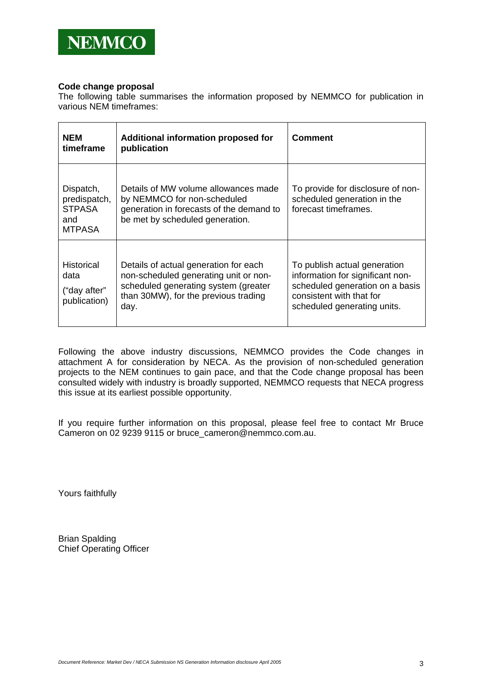

#### **Code change proposal**

The following table summarises the information proposed by NEMMCO for publication in various NEM timeframes:

| <b>NEM</b><br>timeframe                                            | Additional information proposed for<br>publication                                                                                                                     | <b>Comment</b>                                                                                                                                                 |
|--------------------------------------------------------------------|------------------------------------------------------------------------------------------------------------------------------------------------------------------------|----------------------------------------------------------------------------------------------------------------------------------------------------------------|
| Dispatch,<br>predispatch,<br><b>STPASA</b><br>and<br><b>MTPASA</b> | Details of MW volume allowances made<br>by NEMMCO for non-scheduled<br>generation in forecasts of the demand to<br>be met by scheduled generation.                     | To provide for disclosure of non-<br>scheduled generation in the<br>forecast timeframes.                                                                       |
| Historical<br>data<br>("day after"<br>publication)                 | Details of actual generation for each<br>non-scheduled generating unit or non-<br>scheduled generating system (greater<br>than 30MW), for the previous trading<br>day. | To publish actual generation<br>information for significant non-<br>scheduled generation on a basis<br>consistent with that for<br>scheduled generating units. |

Following the above industry discussions, NEMMCO provides the Code changes in attachment A for consideration by NECA. As the provision of non-scheduled generation projects to the NEM continues to gain pace, and that the Code change proposal has been consulted widely with industry is broadly supported, NEMMCO requests that NECA progress this issue at its earliest possible opportunity.

If you require further information on this proposal, please feel free to contact Mr Bruce Cameron on 02 9239 9115 or bruce\_cameron@nemmco.com.au.

Yours faithfully

Brian Spalding Chief Operating Officer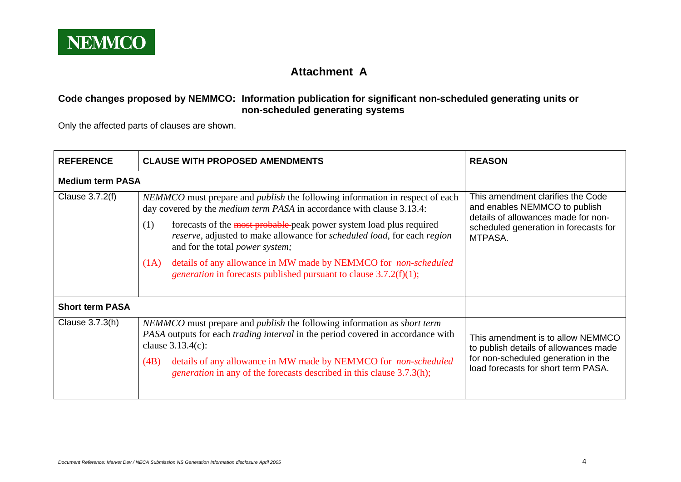

# **Attachment A**

# **Code changes proposed by NEMMCO: Information publication for significant non-scheduled generating units or non-scheduled generating systems**

Only the affected parts of clauses are shown.

| <b>REFERENCE</b>        | <b>CLAUSE WITH PROPOSED AMENDMENTS</b>                                                                                                                                                                                                                                                                                                                                                                                                                                                                                           | <b>REASON</b>                                                                                                                                                 |
|-------------------------|----------------------------------------------------------------------------------------------------------------------------------------------------------------------------------------------------------------------------------------------------------------------------------------------------------------------------------------------------------------------------------------------------------------------------------------------------------------------------------------------------------------------------------|---------------------------------------------------------------------------------------------------------------------------------------------------------------|
| <b>Medium term PASA</b> |                                                                                                                                                                                                                                                                                                                                                                                                                                                                                                                                  |                                                                                                                                                               |
| Clause 3.7.2(f)         | NEMMCO must prepare and <i>publish</i> the following information in respect of each<br>day covered by the <i>medium term PASA</i> in accordance with clause 3.13.4:<br>forecasts of the most probable-peak power system load plus required<br>(1)<br>reserve, adjusted to make allowance for scheduled load, for each region<br>and for the total <i>power</i> system;<br>details of any allowance in MW made by NEMMCO for non-scheduled<br>(1A)<br><i>generation</i> in forecasts published pursuant to clause $3.7.2(f)(1)$ ; | This amendment clarifies the Code<br>and enables NEMMCO to publish<br>details of allowances made for non-<br>scheduled generation in forecasts for<br>MTPASA. |
| <b>Short term PASA</b>  |                                                                                                                                                                                                                                                                                                                                                                                                                                                                                                                                  |                                                                                                                                                               |
| Clause 3.7.3(h)         | NEMMCO must prepare and <i>publish</i> the following information as <i>short term</i><br>PASA outputs for each <i>trading interval</i> in the period covered in accordance with<br>clause $3.13.4(c)$ :<br>details of any allowance in MW made by NEMMCO for non-scheduled<br>(4B)<br><i>generation</i> in any of the forecasts described in this clause 3.7.3(h);                                                                                                                                                               | This amendment is to allow NEMMCO<br>to publish details of allowances made<br>for non-scheduled generation in the<br>load forecasts for short term PASA.      |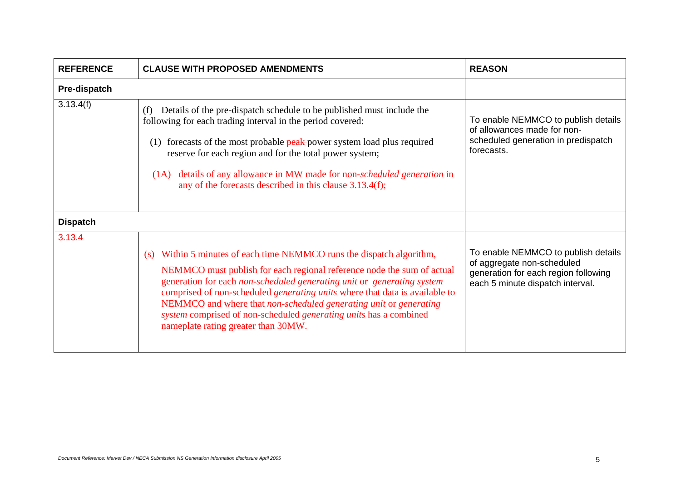| <b>REFERENCE</b> | <b>CLAUSE WITH PROPOSED AMENDMENTS</b>                                                                                                                                                                                                                                                                                                                                                                                                                                                           | <b>REASON</b>                                                                                                                                 |
|------------------|--------------------------------------------------------------------------------------------------------------------------------------------------------------------------------------------------------------------------------------------------------------------------------------------------------------------------------------------------------------------------------------------------------------------------------------------------------------------------------------------------|-----------------------------------------------------------------------------------------------------------------------------------------------|
| Pre-dispatch     |                                                                                                                                                                                                                                                                                                                                                                                                                                                                                                  |                                                                                                                                               |
| 3.13.4(f)        | Details of the pre-dispatch schedule to be published must include the<br>(f)<br>following for each trading interval in the period covered:<br>(1) forecasts of the most probable peak-power system load plus required<br>reserve for each region and for the total power system;<br>details of any allowance in MW made for non- <i>scheduled generation</i> in<br>(1A)<br>any of the forecasts described in this clause $3.13.4(f)$ ;                                                           | To enable NEMMCO to publish details<br>of allowances made for non-<br>scheduled generation in predispatch<br>forecasts.                       |
| <b>Dispatch</b>  |                                                                                                                                                                                                                                                                                                                                                                                                                                                                                                  |                                                                                                                                               |
| 3.13.4           | (s) Within 5 minutes of each time NEMMCO runs the dispatch algorithm,<br>NEMMCO must publish for each regional reference node the sum of actual<br>generation for each non-scheduled generating unit or generating system<br>comprised of non-scheduled <i>generating units</i> where that data is available to<br>NEMMCO and where that non-scheduled generating unit or generating<br>system comprised of non-scheduled generating units has a combined<br>nameplate rating greater than 30MW. | To enable NEMMCO to publish details<br>of aggregate non-scheduled<br>generation for each region following<br>each 5 minute dispatch interval. |